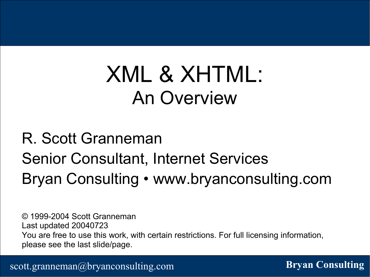#### XML & XHTML: An Overview

#### R. Scott Granneman Senior Consultant, Internet Services Bryan Consulting • www.bryanconsulting.com

© 1999-2004 Scott Granneman Last updated 20040723 You are free to use this work, with certain restrictions. For full licensing information, please see the last slide/page.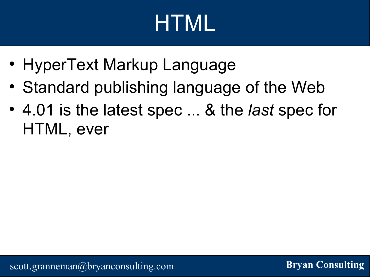# HTML

- HyperText Markup Language
- Standard publishing language of the Web
- 4.01 is the latest spec ... & the *last* spec for HTML, ever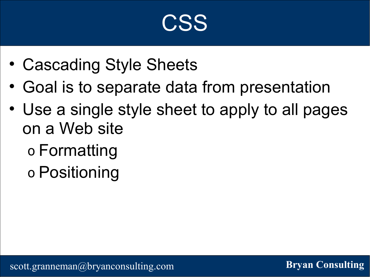#### CSS

- Cascading Style Sheets
- Goal is to separate data from presentation
- Use a single style sheet to apply to all pages on a Web site
	- o Formatting
	- o Positioning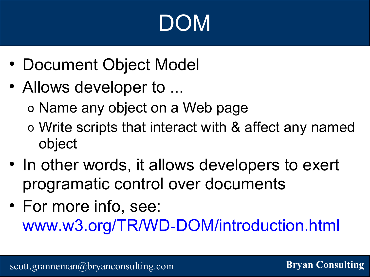# DOM

- Document Object Model
- Allows developer to ...
	- o Name any object on a Web page
	- o Write scripts that interact with & affect any named object
- In other words, it allows developers to exert programatic control over documents
- For more info, see: www.w3.org/TR/WD-DOM/introduction.html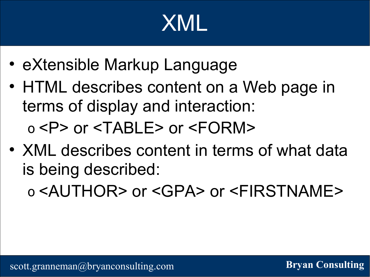## XML

- eXtensible Markup Language
- HTML describes content on a Web page in terms of display and interaction: o <P> or <TABLE> or <FORM>
- XML describes content in terms of what data is being described:

o <AUTHOR> or <GPA> or <FIRSTNAME>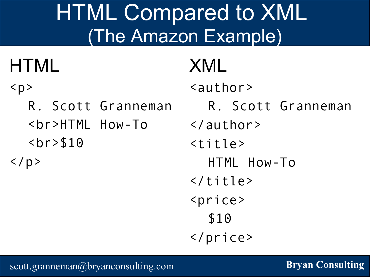#### HTML Compared to XML (The Amazon Example)

#### **HTML**

#### $$p$$

R. Scott Granneman <br>HTML How-To <br>\$10

 $\langle$ /p>

#### XML

<author>

- R. Scott Granneman
- </author>
- $<$ title>
	- HTML How-To
- $\langle$ title>
- <price>

#### \$10

</price>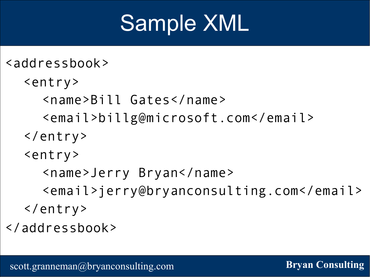#### Sample XML

```
<addressbook>
   <entry>
    <name>Bill Gates</name>
    <email>billg@microsoft.com</email>
  </entry>
  <entry>
    <name>Jerry Bryan</name>
    <email>jerry@bryanconsulting.com</email>
  </entry>
</addressbook>
```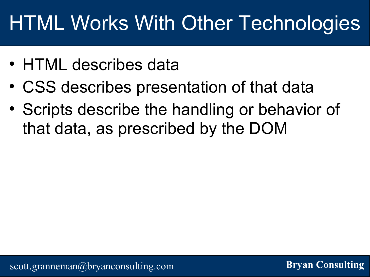#### HTML Works With Other Technologies

- HTML describes data
- CSS describes presentation of that data
- Scripts describe the handling or behavior of that data, as prescribed by the DOM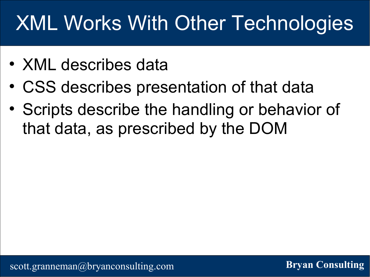#### XML Works With Other Technologies

- XML describes data
- CSS describes presentation of that data
- Scripts describe the handling or behavior of that data, as prescribed by the DOM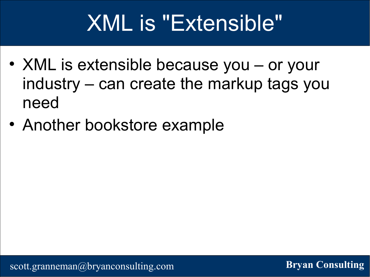#### XML is "Extensible"

- XML is extensible because you or your industry – can create the markup tags you need
- Another bookstore example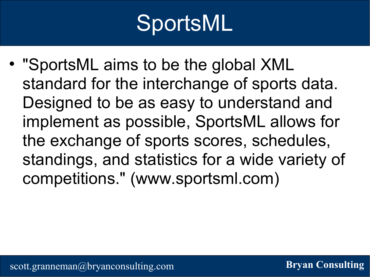## SportsML

• "SportsML aims to be the global XML standard for the interchange of sports data. Designed to be as easy to understand and implement as possible, SportsML allows for the exchange of sports scores, schedules, standings, and statistics for a wide variety of competitions." (www.sportsml.com)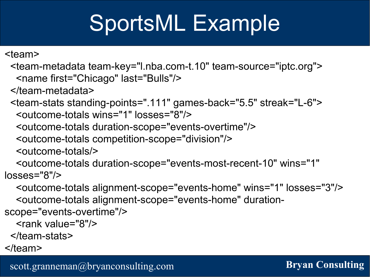#### SportsML Example

<team>

<team-metadata team-key="l.nba.com-t.10" team-source="iptc.org"> <name first="Chicago" last="Bulls"/>

</team-metadata>

<team-stats standing-points=".111" games-back="5.5" streak="L-6"> <outcome-totals wins="1" losses="8"/>

<outcome-totals duration-scope="events-overtime"/>

<outcome-totals competition-scope="division"/>

<outcome-totals/>

<outcome-totals duration-scope="events-most-recent-10" wins="1" losses="8"/>

<outcome-totals alignment-scope="events-home" wins="1" losses="3"/> <outcome-totals alignment-scope="events-home" durationscope="events-overtime"/>

<rank value="8"/>

</team-stats>

 $<$ /team $>$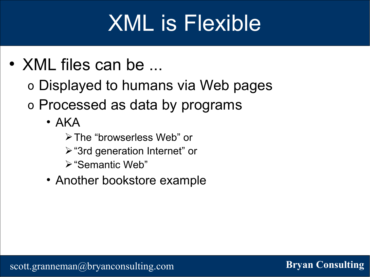#### XML is Flexible

- XML files can be ...
	- o Displayed to humans via Web pages
	- o Processed as data by programs
		- $\bullet$  AKA
			- ➢The "browserless Web" or
			- ➢"3rd generation Internet" or
			- ➢"Semantic Web"
		- Another bookstore example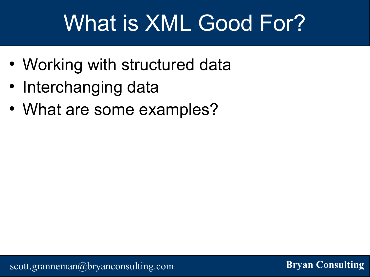#### What is XML Good For?

- Working with structured data
- Interchanging data
- What are some examples?

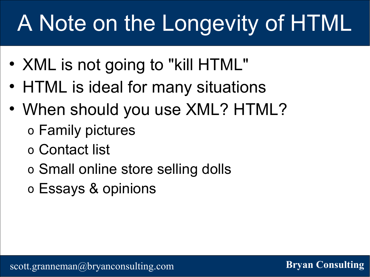## A Note on the Longevity of HTML

- XML is not going to "kill HTML"
- HTML is ideal for many situations
- When should you use XML? HTML?
	- o Family pictures
	- o Contact list
	- o Small online store selling dolls
	- o Essays & opinions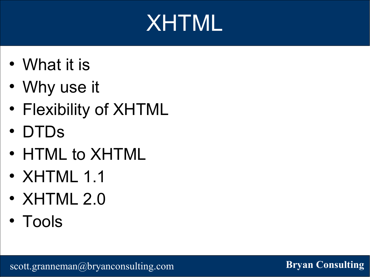## XHTML

- What it is
- Why use it
- Flexibility of XHTML
- DTDs
- HTML to XHTML
- XHTML 1.1
- XHTML 2.0
- Tools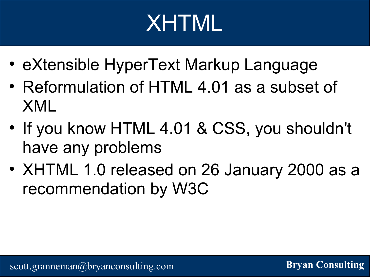# XHTML

- eXtensible HyperText Markup Language
- Reformulation of HTML 4.01 as a subset of XML
- If you know HTML 4.01 & CSS, you shouldn't have any problems
- XHTML 1.0 released on 26 January 2000 as a recommendation by W3C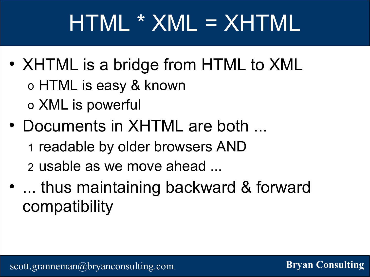## HTML \* XML = XHTML

- XHTML is a bridge from HTML to XML o HTML is easy & known o XML is powerful
- Documents in XHTML are both ...
	- 1 readable by older browsers AND
	- 2 usable as we move ahead ...
- ... thus maintaining backward & forward compatibility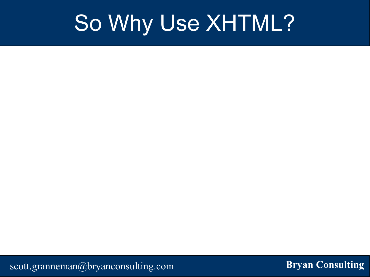#### So Why Use XHTML?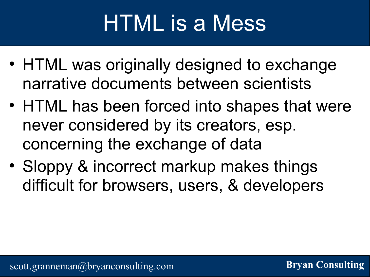# HTML is a Mess

- HTML was originally designed to exchange narrative documents between scientists
- HTML has been forced into shapes that were never considered by its creators, esp. concerning the exchange of data
- Sloppy & incorrect markup makes things difficult for browsers, users, & developers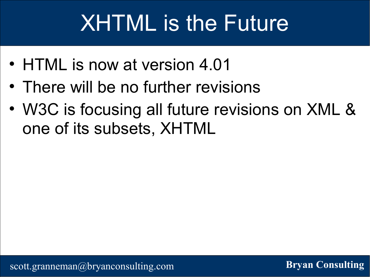## XHTML is the Future

- HTML is now at version 4.01
- There will be no further revisions
- W3C is focusing all future revisions on XML & one of its subsets, XHTML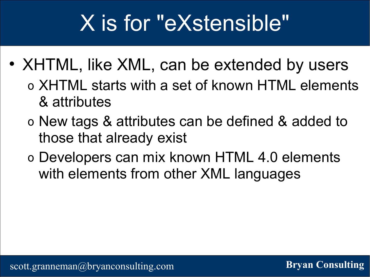#### X is for "eXstensible"

- XHTML, like XML, can be extended by users
	- o XHTML starts with a set of known HTML elements & attributes
	- o New tags & attributes can be defined & added to those that already exist
	- o Developers can mix known HTML 4.0 elements with elements from other XML languages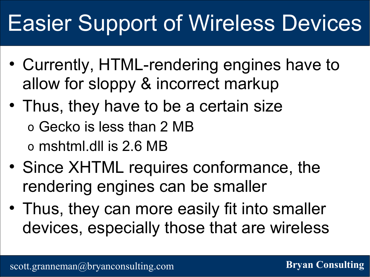### Easier Support of Wireless Devices

- Currently, HTML-rendering engines have to allow for sloppy & incorrect markup
- Thus, they have to be a certain size o Gecko is less than 2 MB o mshtml.dll is 2.6 MB
- Since XHTML requires conformance, the rendering engines can be smaller
- Thus, they can more easily fit into smaller devices, especially those that are wireless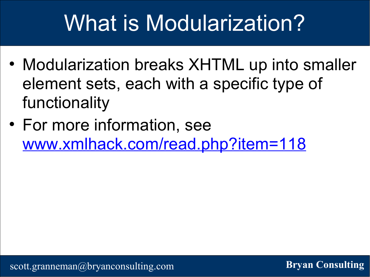#### What is Modularization?

- Modularization breaks XHTML up into smaller element sets, each with a specific type of functionality
- For more information, see www.xmlhack.com/read.php?item=118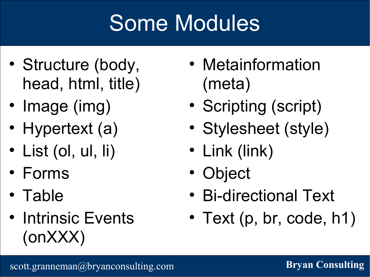## Some Modules

- Structure (body, head, html, title)
- Image (img)
- Hypertext (a)
- List (ol, ul, li)
- Forms
- Table
- Intrinsic Events (onXXX)
- Metainformation (meta)
- Scripting (script)
- Stylesheet (style)
- Link (link)
- Object
- Bi-directional Text
- Text (p, br, code, h1)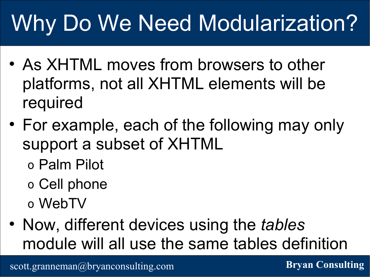# Why Do We Need Modularization?

- As XHTML moves from browsers to other platforms, not all XHTML elements will be required
- For example, each of the following may only support a subset of XHTML
	- o Palm Pilot
	- o Cell phone
	- o WebTV
- Now, different devices using the *tables* module will all use the same tables definition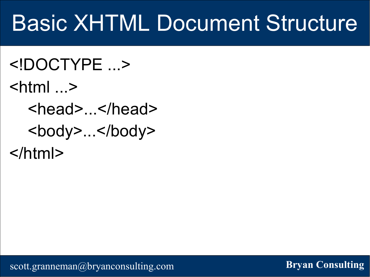#### Basic XHTML Document Structure

<!DOCTYPE ...>  $\lt$ html  $\ldots$ <head>...</head> <body>...</body> </html>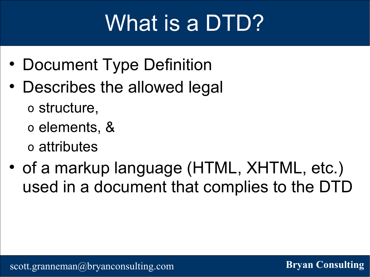## What is a DTD?

- Document Type Definition
- Describes the allowed legal o structure,
	- o elements, &
	- o attributes
- of a markup language (HTML, XHTML, etc.) used in a document that complies to the DTD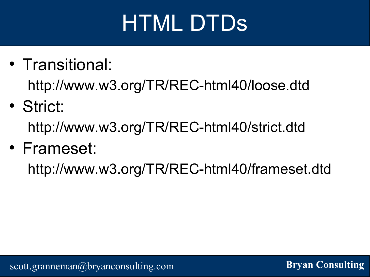# HTML DTDs

- Transitional: http://www.w3.org/TR/REC-html40/loose.dtd
- Strict: http://www.w3.org/TR/REC-html40/strict.dtd
- Frameset:

http://www.w3.org/TR/REC-html40/frameset.dtd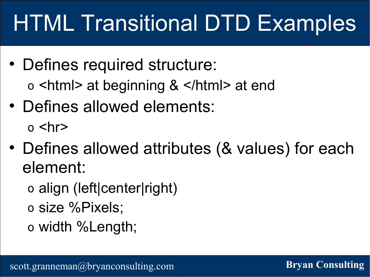## HTML Transitional DTD Examples

- Defines required structure: o <html> at beginning & </html> at end
- Defines allowed elements:  $o$  <hr>
- Defines allowed attributes (& values) for each element:
	- o align (left|center|right)
	- o size %Pixels;
	- o width %Length;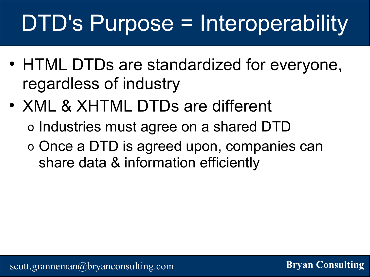# DTD's Purpose = Interoperability

- HTML DTDs are standardized for everyone, regardless of industry
- XML & XHTML DTDs are different o Industries must agree on a shared DTD o Once a DTD is agreed upon, companies can share data & information efficiently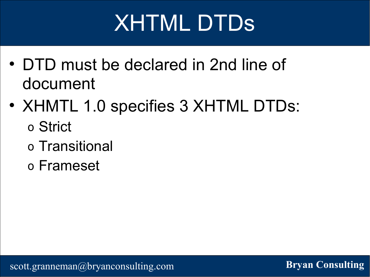## XHTML DTDs

- DTD must be declared in 2nd line of document
- XHMTL 1.0 specifies 3 XHTML DTDs: o Strict
	- o Transitional
	- o Frameset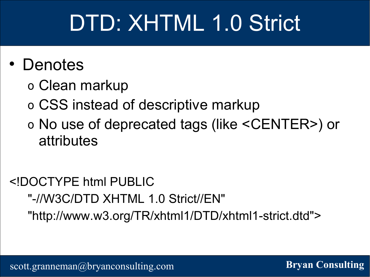#### DTD: XHTML 1.0 Strict

#### • Denotes

- o Clean markup
- o CSS instead of descriptive markup
- o No use of deprecated tags (like <CENTER>) or attributes

#### <!DOCTYPE html PUBLIC "-//W3C/DTD XHTML 1.0 Strict//EN" "http://www.w3.org/TR/xhtml1/DTD/xhtml1-strict.dtd">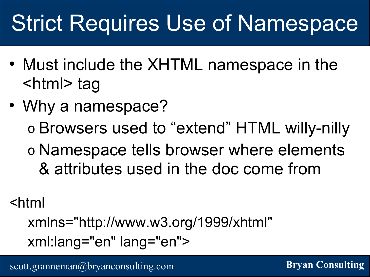## Strict Requires Use of Namespace

- Must include the XHTML namespace in the <html> tag
- Why a namespace? o Browsers used to "extend" HTML willy-nilly o Namespace tells browser where elements & attributes used in the doc come from

<html

xmlns="http://www.w3.org/1999/xhtml" xml:lang="en" lang="en">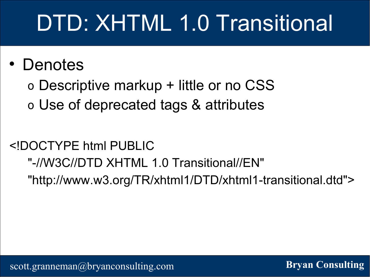# DTD: XHTML 1.0 Transitional

#### • Denotes

o Descriptive markup + little or no CSS o Use of deprecated tags & attributes

#### <!DOCTYPE html PUBLIC

#### "-//W3C//DTD XHTML 1.0 Transitional//EN" "http://www.w3.org/TR/xhtml1/DTD/xhtml1-transitional.dtd">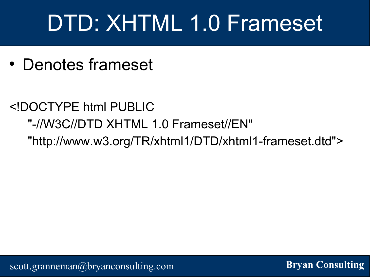## DTD: XHTML 1.0 Frameset

• Denotes frameset

#### <!DOCTYPE html PUBLIC "-//W3C//DTD XHTML 1.0 Frameset//EN" "http://www.w3.org/TR/xhtml1/DTD/xhtml1-frameset.dtd">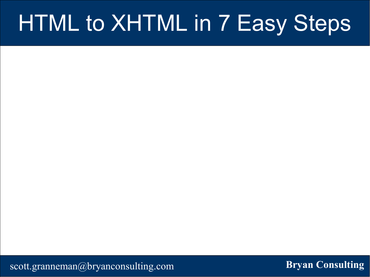#### HTML to XHTML in 7 Easy Steps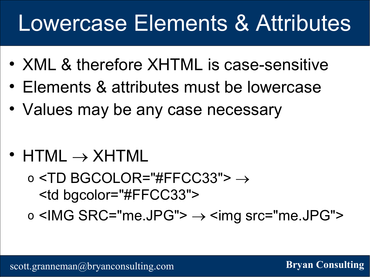#### Lowercase Elements & Attributes

- XML & therefore XHTML is case-sensitive
- Elements & attributes must be lowercase
- Values may be any case necessary
- HTML  $\rightarrow$  XHTML

o <TD BGCOLOR="#FFCC33">  $\rightarrow$ <td bgcolor="#FFCC33"> o <IMG SRC="me.JPG">  $\rightarrow$  <img src="me.JPG">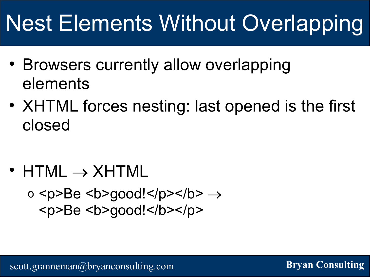## Nest Elements Without Overlapping

- Browsers currently allow overlapping elements
- XHTML forces nesting: last opened is the first closed

•  $HTML \rightarrow XHTML$ 

o <p>Be <b>good!</p></b>  $\rightarrow$ <p>Be <b>good!</b></p>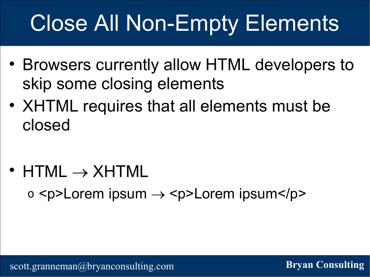# Close All Non-Empty Elements

- Browsers currently allow HTML developers to skip some closing elements
- XHTML requires that all elements must be closed

•  $HTML \rightarrow XHTML$ 

 $o$  <p>Lorem ipsum  $\rightarrow$  <p>Lorem ipsum</p>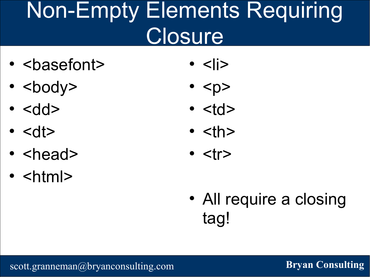#### Non-Empty Elements Requiring **Closure**

- <basefont>
- $\cdot$  <br/>body>
- $\epsilon$  <dd>
- $\cdot$  <dt>
- $\cdot$  <head>
- $\cdot$  <html>
- $\cdot$  <  $\mid$  >
- $\cdot$  <p>
- $\cdot$  <td>
- $\cdot$  <th>
- $\cdot$   $\langle \text{tr} \rangle$
- All require a closing tag!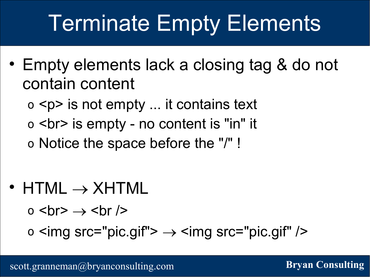## Terminate Empty Elements

- Empty elements lack a closing tag & do not contain content
	- o <p> is not empty ... it contains text
	- o <br> is empty no content is "in" it
	- o Notice the space before the "/" !
- $\bullet$  HTML  $\rightarrow$  XHTML
	- $\circ$  <br  $\rightarrow$  <br />

o  $\leq$ img src="pic.gif">  $\rightarrow$   $\leq$ img src="pic.gif" />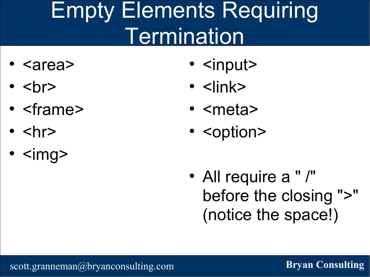### Empty Elements Requiring **Termination**

- <area>
- $\cdot$   $**br>>**$
- <frame>
- $\cdot$   $\langle$ hr>
- $\cdot$  <img>
- <input>
- <link>
- <meta>
- <option>
- All require a " /" before the closing ">" (notice the space!)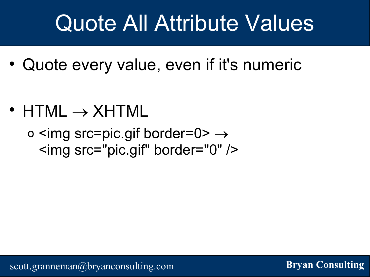#### Quote All Attribute Values

- Quote every value, even if it's numeric
- HTML  $\rightarrow$  XHTML

o  $\leq$ img src=pic.gif border=0>  $\rightarrow$ <img src="pic.gif" border="0" />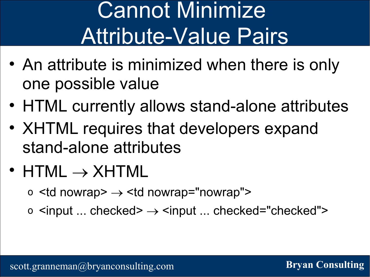## Cannot Minimize Attribute-Value Pairs

- An attribute is minimized when there is only one possible value
- HTML currently allows stand-alone attributes
- XHTML requires that developers expand stand-alone attributes
- HTML  $\rightarrow$  XHTML
	- o  $<$ td nowrap $>$   $\rightarrow$   $<$ td nowrap="nowrap" $>$
	- o  $\le$ input ... checked>  $\rightarrow$   $\le$ input ... checked="checked">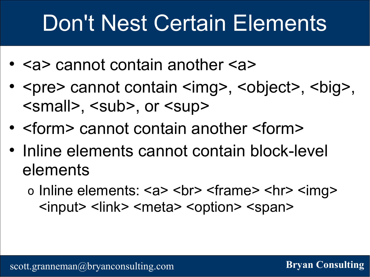#### Don't Nest Certain Elements

- <a> cannot contain another <a>
- <pre> cannot contain <img>, <object>, <br/><br/><br/>sology, <small>, <sub>, or <sup>
- <form> cannot contain another <form>
- Inline elements cannot contain block-level elements
	- o Inline elements: <a> <br> <frame> <hr> <img> <input> <link> <meta> <option> <span>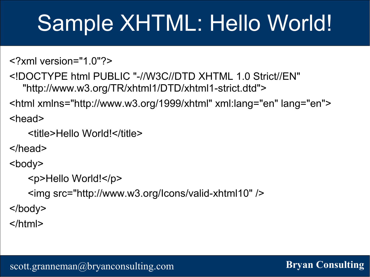#### Sample XHTML: Hello World!

```
<?xml version="1.0"?>
```

```
<!DOCTYPE html PUBLIC "-//W3C//DTD XHTML 1.0 Strict//EN"
  "http://www.w3.org/TR/xhtml1/DTD/xhtml1-strict.dtd">
```
<html xmlns="http://www.w3.org/1999/xhtml" xml:lang="en" lang="en">

<head>

```
<title>Hello World!</title>
```
</head>

<body>

```
<p>Hello World!</p>
   <img src="http://www.w3.org/Icons/valid-xhtml10" />
</body>
```
</html>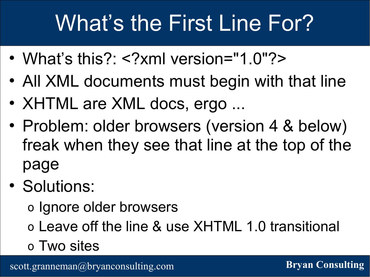### What's the First Line For?

- What's this?: <?xml version="1.0"?>
- All XML documents must begin with that line
- XHTML are XML docs, ergo ...
- Problem: older browsers (version 4 & below) freak when they see that line at the top of the page
- Solutions:

o Ignore older browsers

- o Leave off the line & use XHTML 1.0 transitional
- o Two sites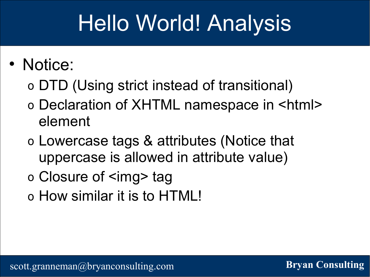#### Hello World! Analysis

#### • Notice:

- o DTD (Using strict instead of transitional)
- o Declaration of XHTML namespace in <html> element
- o Lowercase tags & attributes (Notice that uppercase is allowed in attribute value)
- o Closure of <img> tag
- o How similar it is to HTML!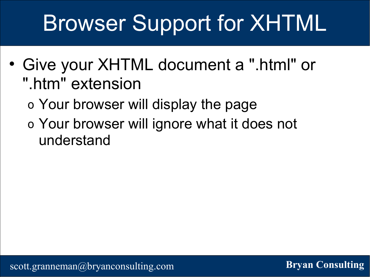## Browser Support for XHTML

- Give your XHTML document a ".html" or ".htm" extension
	- o Your browser will display the page
	- o Your browser will ignore what it does not understand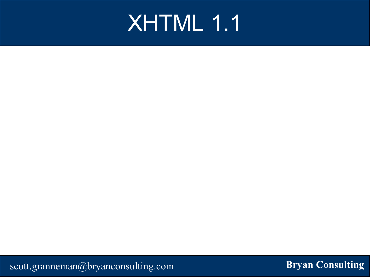#### XHTML 1.1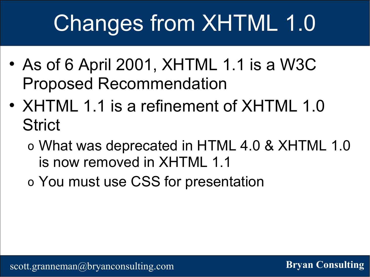# Changes from XHTML 1.0

- As of 6 April 2001, XHTML 1.1 is a W3C Proposed Recommendation
- XHTML 1.1 is a refinement of XHTML 1.0 **Strict** 
	- o What was deprecated in HTML 4.0 & XHTML 1.0 is now removed in XHTML 1.1
	- o You must use CSS for presentation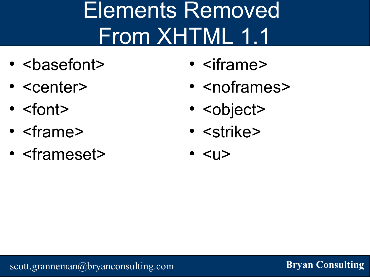## Elements Removed From XHTML 1.1

- <basefont>
- <center>
- <font>
- <frame>
- <frameset>
- <iframe>
- <noframes>
- <object>
- <strike>
- <u>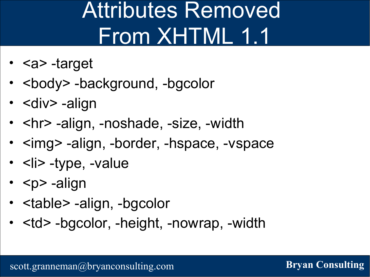### Attributes Removed From XHTML 1.1

- <a> -target
- <body> -background, -bgcolor
- < div > align
- <hr> -align, -noshade, -size, -width
- <img> -align, -border, -hspace, -vspace
- <li> -type, -value
- $<$ p> -align
- <table> -align, -bgcolor
- <td> -bgcolor, -height, -nowrap, -width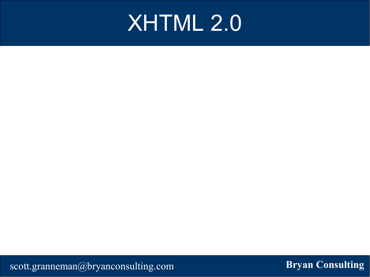#### XHTML 2.0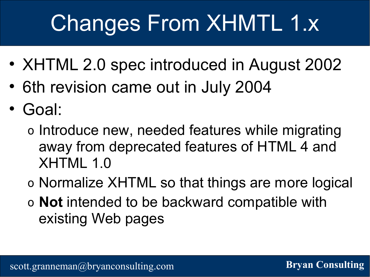## Changes From XHMTL 1.x

- XHTML 2.0 spec introduced in August 2002
- 6th revision came out in July 2004
- Goal:
	- o Introduce new, needed features while migrating away from deprecated features of HTML 4 and XHTML 1.0
	- o Normalize XHTML so that things are more logical
	- o **Not** intended to be backward compatible with existing Web pages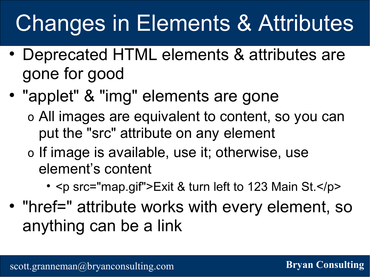## Changes in Elements & Attributes

- Deprecated HTML elements & attributes are gone for good
- "applet" & "img" elements are gone o All images are equivalent to content, so you can
	- put the "src" attribute on any element
	- o If image is available, use it; otherwise, use element's content
		- <p src="map.gif">Exit & turn left to 123 Main St.</p>
- "href=" attribute works with every element, so anything can be a link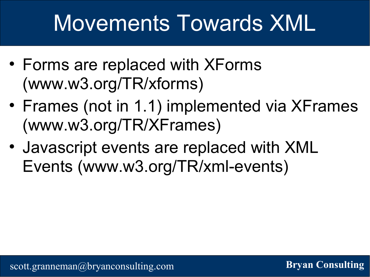#### Movements Towards XML

- Forms are replaced with XForms (www.w3.org/TR/xforms)
- Frames (not in 1.1) implemented via XFrames (www.w3.org/TR/XFrames)
- Javascript events are replaced with XML Events (www.w3.org/TR/xml-events)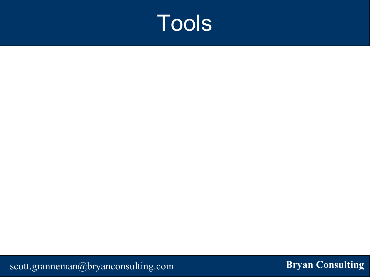#### Tools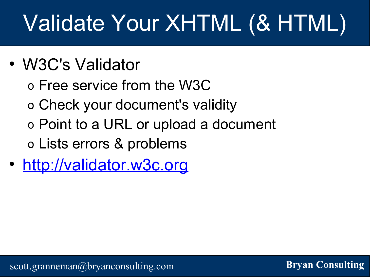# Validate Your XHTML (& HTML)

- W3C's Validator
	- o Free service from the W3C
	- o Check your document's validity
	- o Point to a URL or upload a document
	- o Lists errors & problems
- http://validator.w3c.org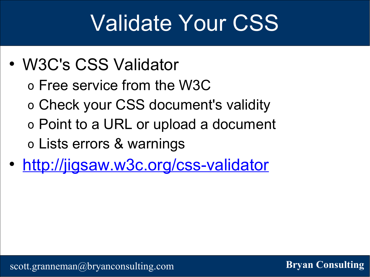#### Validate Your CSS

- W3C's CSS Validator
	- o Free service from the W3C
	- o Check your CSS document's validity
	- o Point to a URL or upload a document
	- o Lists errors & warnings
- http://jigsaw.w3c.org/css-validator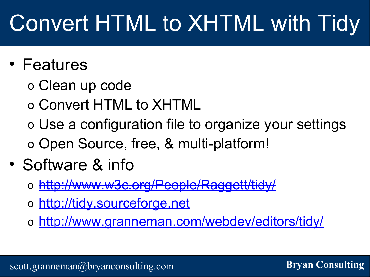# Convert HTML to XHTML with Tidy

#### • Features

- o Clean up code
- o Convert HTML to XHTML
- o Use a configuration file to organize your settings o Open Source, free, & multi-platform!

#### • Software & info

- o http://www.w3c.org/People/Raggett/tid
- o http://tidy.sourceforge.net
- o http://www.granneman.com/webdev/editors/tidy/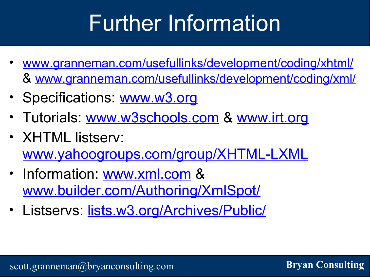## Further Information

- www.granneman.com/usefullinks/development/coding/xhtml/ & www.granneman.com/usefullinks/development/coding/xml/
- Specifications: www.w3.org
- Tutorials: www.w3schools.com & www.irt.org
- XHTML listserv: www.yahoogroups.com/group/XHTML-LXML
- Information: www.xml.com & www.builder.com/Authoring/XmlSpot/
- Listservs: lists.w3.org/Archives/Public/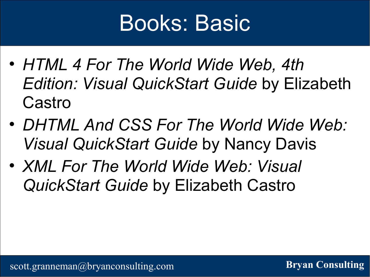#### Books: Basic

- *HTML 4 For The World Wide Web, 4th Edition: Visual QuickStart Guide* by Elizabeth Castro
- *DHTML And CSS For The World Wide Web: Visual QuickStart Guide* by Nancy Davis
- *XML For The World Wide Web: Visual QuickStart Guide* by Elizabeth Castro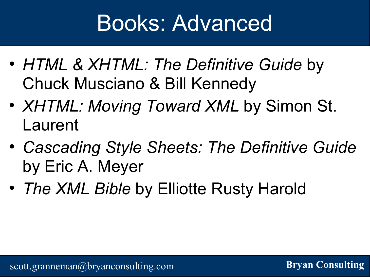#### Books: Advanced

- *HTML & XHTML: The Definitive Guide* by Chuck Musciano & Bill Kennedy
- *XHTML: Moving Toward XML* by Simon St. Laurent
- *Cascading Style Sheets: The Definitive Guide* by Eric A. Meyer
- *The XML Bible* by Elliotte Rusty Harold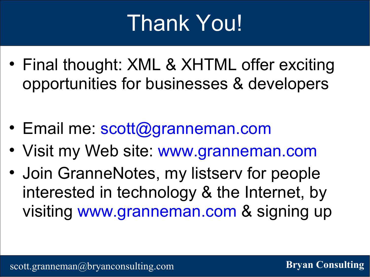## Thank You!

- Final thought: XML & XHTML offer exciting opportunities for businesses & developers
- Email me: scott@granneman.com
- Visit my Web site: www.granneman.com
- Join GranneNotes, my listserv for people interested in technology & the Internet, by visiting www.granneman.com & signing up